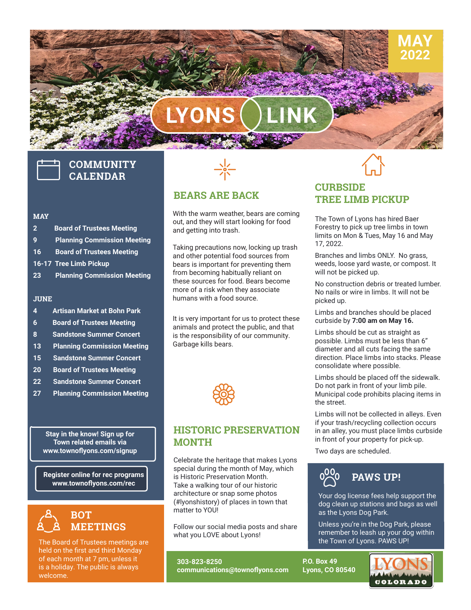# **LYONS LINK**

# **COMMUNITY CALENDAR**

#### **MAY**

- **2 Board of Trustees Meeting**
- **9 Planning Commission Meeting**
- **16 Board of Trustees Meeting**
- **16-17 Tree Limb Pickup**
- **23 Planning Commission Meeting**

#### **JUNE**

- **4 Artisan Market at Bohn Park**
- **6 Board of Trustees Meeting**
- **8 Sandstone Summer Concert**
- **13 Planning Commission Meeting**
- **15 Sandstone Summer Concert**
- **20 Board of Trustees Meeting**
- **22 Sandstone Summer Concert**
- **27 Planning Commission Meeting**

**Stay in the know! Sign up for Town related emails via www.townoflyons.com/signup**

**Register online for rec programs www.townoflyons.com/rec**



The Board of Trustees meetings are held on the first and third Monday of each month at 7 pm, unless it is a holiday. The public is always welcome.



#### **BEARS ARE BACK**

With the warm weather, bears are coming out, and they will start looking for food and getting into trash.

Taking precautions now, locking up trash and other potential food sources from bears is important for preventing them from becoming habitually reliant on these sources for food. Bears become more of a risk when they associate humans with a food source.

It is very important for us to protect these animals and protect the public, and that is the responsibility of our community. Garbage kills bears.



### **HISTORIC PRESERVATION MONTH**

architecture or snap some photos<br>(#lvenshistary) of places in town that Take a walking tour of our historic<br>architecture or snap some photos<br>(#lyonshistory) of places in town the Celebrate the heritage that makes Lyons special during the month of May, which is Historic Preservation Month. (#lyonshistory) of places in town that matter to YOU!

Follow our social media posts and share what you LOVE about Lyons!

**303-823-8250 communications@townoflyons.com**



**MAY 2022**

#### **CURBSIDE TREE LIMB PICKUP**

The Town of Lyons has hired Baer Forestry to pick up tree limbs in town limits on Mon & Tues, May 16 and May 17, 2022.

Branches and limbs ONLY. No grass, weeds, loose yard waste, or compost. It will not be picked up.

No construction debris or treated lumber. No nails or wire in limbs. It will not be picked up.

Limbs and branches should be placed curbside by **7:00 am on May 16.**

Limbs should be cut as straight as possible. Limbs must be less than 6" diameter and all cuts facing the same direction. Place limbs into stacks. Please consolidate where possible.

Limbs should be placed off the sidewalk. Do not park in front of your limb pile. Municipal code prohibits placing items in the street.

Limbs will not be collected in alleys. Even if your trash/recycling collection occurs in an alley, you must place limbs curbside in front of your property for pick-up.

Two days are scheduled.



Your dog license fees help support the dog clean up stations and bags as well as the Lyons Dog Park.

Unless you're in the Dog Park, please remember to leash up your dog within the Town of Lyons. PAWS UP!

**P.O. Box 49 Lyons, CO 80540**